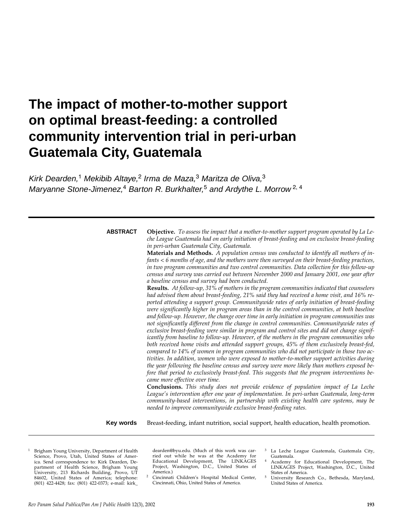# **The impact of mother-to-mother support on optimal breast-feeding: a controlled community intervention trial in peri-urban Guatemala City, Guatemala**

Kirk Dearden,<sup>1</sup> Mekibib Altaye,<sup>2</sup> Irma de Maza,<sup>3</sup> Maritza de Oliva,<sup>3</sup> Maryanne Stone-Jimenez,<sup>4</sup> Barton R. Burkhalter,<sup>5</sup> and Ardythe L. Morrow<sup>2, 4</sup>

### **ABSTRACT**

**Objective.** *To assess the impact that a mother-to-mother support program operated by La Leche League Guatemala had on early initiation of breast-feeding and on exclusive breast-feeding in peri-urban Guatemala City, Guatemala.*  **Materials and Methods.** *A population census was conducted to identify all mothers of in-*

*fants < 6 months of age, and the mothers were then surveyed on their breast-feeding practices, in two program communities and two control communities. Data collection for this follow-up census and survey was carried out between November 2000 and January 2001, one year after a baseline census and survey had been conducted.*

**Results.** *At follow-up, 31% of mothers in the program communities indicated that counselors had advised them about breast-feeding, 21% said they had received a home visit, and 16% reported attending a support group. Communitywide rates of early initiation of breast-feeding were significantly higher in program areas than in the control communities, at both baseline and follow-up. However, the change over time in early initiation in program communities was not significantly different from the change in control communities. Communitywide rates of exclusive breast-feeding were similar in program and control sites and did not change significantly from baseline to follow-up. However, of the mothers in the program communities who both received home visits and attended support groups, 45% of them exclusively breast-fed, compared to 14% of women in program communities who did not participate in those two activities. In addition, women who were exposed to mother-to-mother support activities during the year following the baseline census and survey were more likely than mothers exposed before that period to exclusively breast-feed. This suggests that the program interventions became more effective over time.* 

**Conclusions.** *This study does not provide evidence of population impact of La Leche League's intervention after one year of implementation. In peri-urban Guatemala, long-term community-based interventions, in partnership with existing health care systems, may be needed to improve communitywide exclusive breast-feeding rates.* 

Breast-feeding, infant nutrition, social support, health education, health promotion. **Key words**

<sup>1</sup> Brigham Young University, Department of Health Science, Provo, Utah, United States of America. Send correspondence to: Kirk Dearden, Department of Health Science, Brigham Young University, 213 Richards Building, Provo, UT 84602, United States of America; telephone: (801) 422-4428; fax: (801) 422-0373; e-mail: kirk\_

dearden@byu.edu. (Much of this work was carried out while he was at the Academy for Educational Development, The LINKAGES Project, Washington, D.C., United States of

- America.) 2 Cincinnati Children's Hospital Medical Center, Cincinnati, Ohio, United States of America.
- <sup>3</sup> La Leche League Guatemala, Guatemala City,
- <sup>4</sup> Academy for Educational Development, The LINKAGES Project, Washington, D.C., United States of America.
- <sup>5</sup> University Research Co., Bethesda, Maryland, United States of America.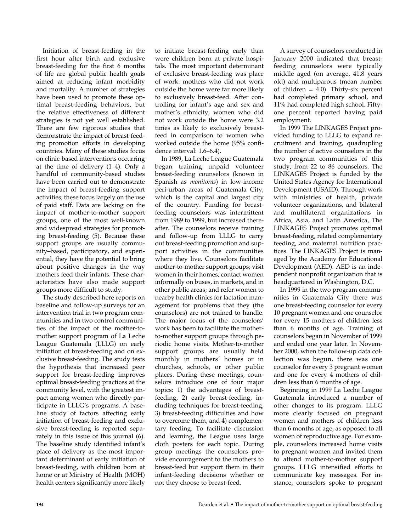Initiation of breast-feeding in the first hour after birth and exclusive breast-feeding for the first 6 months of life are global public health goals aimed at reducing infant morbidity and mortality. A number of strategies have been used to promote these optimal breast-feeding behaviors, but the relative effectiveness of different strategies is not yet well established. There are few rigorous studies that demonstrate the impact of breast-feeding promotion efforts in developing countries. Many of these studies focus on clinic-based interventions occurring at the time of delivery (1–4). Only a handful of community-based studies have been carried out to demonstrate the impact of breast-feeding support activities; these focus largely on the use of paid staff. Data are lacking on the impact of mother-to-mother support groups, one of the most well-known and widespread strategies for promoting breast-feeding (5). Because these support groups are usually community–based, participatory, and experiential, they have the potential to bring about positive changes in the way mothers feed their infants. These characteristics have also made support groups more difficult to study.

The study described here reports on baseline and follow-up surveys for an intervention trial in two program communities and in two control communities of the impact of the mother-tomother support program of La Leche League Guatemala (LLLG) on early initiation of breast-feeding and on exclusive breast-feeding. The study tests the hypothesis that increased peer support for breast-feeding improves optimal breast-feeding practices at the community level, with the greatest impact among women who directly participate in LLLG's programs. A baseline study of factors affecting early initiation of breast-feeding and exclusive breast-feeding is reported separately in this issue of this journal (6). The baseline study identified infant's place of delivery as the most important determinant of early initiation of breast-feeding, with children born at home or at Ministry of Health (MOH) health centers significantly more likely

to initiate breast-feeding early than were children born at private hospitals. The most important determinant of exclusive breast-feeding was place of work: mothers who did not work outside the home were far more likely to exclusively breast-feed. After controlling for infant's age and sex and mother's ethnicity, women who did not work outside the home were 3.2 times as likely to exclusively breastfeed in comparison to women who worked outside the home (95% confidence interval: 1.6–6.4).

In 1989, La Leche League Guatemala began training unpaid volunteer breast-feeding counselors (known in Spanish as *monitoras*) in low-income peri-urban areas of Guatemala City, which is the capital and largest city of the country. Funding for breastfeeding counselors was intermittent from 1989 to 1999, but increased thereafter. The counselors receive training and follow-up from LLLG to carry out breast-feeding promotion and support activities in the communities where they live. Counselors facilitate mother-to-mother support groups; visit women in their homes; contact women informally on buses, in markets, and in other public areas; and refer women to nearby health clinics for lactation management for problems that they (the counselors) are not trained to handle. The major focus of the counselors' work has been to facilitate the motherto-mother support groups through periodic home visits. Mother-to-mother support groups are usually held monthly in mothers' homes or in churches, schools, or other public places. During these meetings, counselors introduce one of four major topics: 1) the advantages of breastfeeding, 2) early breast-feeding, including techniques for breast-feeding, 3) breast-feeding difficulties and how to overcome them, and 4) complementary feeding. To facilitate discussion and learning, the League uses large cloth posters for each topic. During group meetings the counselors provide encouragement to the mothers to breast-feed but support them in their infant-feeding decisions whether or not they choose to breast-feed.

A survey of counselors conducted in January 2000 indicated that breastfeeding counselors were typically middle aged (on average, 41.8 years old) and multiparous (mean number of children  $= 4.0$ ). Thirty-six percent had completed primary school, and 11% had completed high school. Fiftyone percent reported having paid employment.

In 1999 The LINKAGES Project provided funding to LLLG to expand recruitment and training, quadrupling the number of active counselors in the two program communities of this study, from 22 to 86 counselors. The LINKAGES Project is funded by the United States Agency for International Development (USAID). Through work with ministries of health, private volunteer organizations, and bilateral and multilateral organizations in Africa, Asia, and Latin America, The LINKAGES Project promotes optimal breast-feeding, related complementary feeding, and maternal nutrition practices. The LINKAGES Project is managed by the Academy for Educational Development (AED). AED is an independent nonprofit organization that is headquartered in Washington, D.C.

In 1999 in the two program communities in Guatemala City there was one breast-feeding counselor for every 10 pregnant women and one counselor for every 15 mothers of children less than 6 months of age. Training of counselors began in November of 1999 and ended one year later. In November 2000, when the follow-up data collection was begun, there was one counselor for every 3 pregnant women and one for every 4 mothers of children less than 6 months of age.

Beginning in 1999 La Leche League Guatemala introduced a number of other changes to its program. LLLG more clearly focused on pregnant women and mothers of children less than 6 months of age, as opposed to all women of reproductive age. For example, counselors increased home visits to pregnant women and invited them to attend mother-to-mother support groups. LLLG intensified efforts to communicate key messages. For instance, counselors spoke to pregnant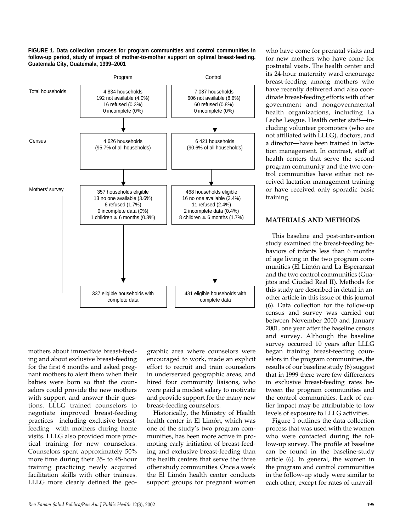**FIGURE 1. Data collection process for program communities and control communities in follow-up period, study of impact of mother-to-mother support on optimal breast-feeding, Guatemala City, Guatemala, 1999–2001**



mothers about immediate breast-feeding and about exclusive breast-feeding for the first 6 months and asked pregnant mothers to alert them when their babies were born so that the counselors could provide the new mothers with support and answer their questions. LLLG trained counselors to negotiate improved breast-feeding practices—including exclusive breastfeeding—with mothers during home visits. LLLG also provided more practical training for new counselors. Counselors spent approximately 50% more time during their 35- to 45-hour training practicing newly acquired facilitation skills with other trainees. LLLG more clearly defined the geo-

graphic area where counselors were encouraged to work, made an explicit effort to recruit and train counselors in underserved geographic areas, and hired four community liaisons, who were paid a modest salary to motivate and provide support for the many new breast-feeding counselors.

Historically, the Ministry of Health health center in El Limón, which was one of the study's two program communities, has been more active in promoting early initiation of breast-feeding and exclusive breast-feeding than the health centers that serve the three other study communities. Once a week the El Limón health center conducts support groups for pregnant women

who have come for prenatal visits and for new mothers who have come for postnatal visits. The health center and its 24-hour maternity ward encourage breast-feeding among mothers who have recently delivered and also coordinate breast-feeding efforts with other government and nongovernmental health organizations, including La Leche League. Health center staff—including volunteer promoters (who are not affiliated with LLLG), doctors, and a director—have been trained in lactation management. In contrast, staff at health centers that serve the second program community and the two control communities have either not received lactation management training or have received only sporadic basic training.

#### **MATERIALS AND METHODS**

This baseline and post-intervention study examined the breast-feeding behaviors of infants less than 6 months of age living in the two program communities (El Limón and La Esperanza) and the two control communities (Guajitos and Ciudad Real II). Methods for this study are described in detail in another article in this issue of this journal (6). Data collection for the follow-up census and survey was carried out between November 2000 and January 2001, one year after the baseline census and survey. Although the baseline survey occurred 10 years after LLLG began training breast-feeding counselors in the program communities, the results of our baseline study (6) suggest that in 1999 there were few differences in exclusive breast-feeding rates between the program communities and the control communities. Lack of earlier impact may be attributable to low levels of exposure to LLLG activities.

Figure 1 outlines the data collection process that was used with the women who were contacted during the follow-up survey. The profile at baseline can be found in the baseline-study article (6). In general, the women in the program and control communities in the follow-up study were similar to each other, except for rates of unavail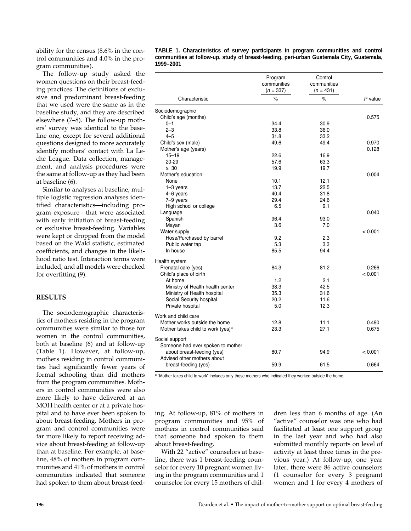ability for the census (8.6% in the control communities and 4.0% in the program communities).

The follow-up study asked the women questions on their breast-feeding practices. The definitions of exclusive and predominant breast-feeding that we used were the same as in the baseline study, and they are described elsewhere (7–8). The follow-up mothers' survey was identical to the baseline one, except for several additional questions designed to more accurately identify mothers' contact with La Leche League. Data collection, management, and analysis procedures were the same at follow-up as they had been at baseline (6).

Similar to analyses at baseline, multiple logistic regression analyses identified characteristics—including program exposure—that were associated with early initiation of breast-feeding or exclusive breast-feeding. Variables were kept or dropped from the model based on the Wald statistic, estimated coefficients, and changes in the likelihood ratio test. Interaction terms were included, and all models were checked for overfitting (9).

#### **RESULTS**

The sociodemographic characteristics of mothers residing in the program communities were similar to those for women in the control communities, both at baseline (6) and at follow-up (Table 1). However, at follow-up, mothers residing in control communities had significantly fewer years of formal schooling than did mothers from the program communities. Mothers in control communities were also more likely to have delivered at an MOH health center or at a private hospital and to have ever been spoken to about breast-feeding. Mothers in program and control communities were far more likely to report receiving advice about breast-feeding at follow-up than at baseline. For example, at baseline, 48% of mothers in program communities and 41% of mothers in control communities indicated that someone had spoken to them about breast-feed**TABLE 1. Characteristics of survey participants in program communities and control communities at follow-up, study of breast-feeding, peri-urban Guatemala City, Guatemala, 1999–2001** 

|                                               | Program<br>communities<br>$(n = 337)$ | Control<br>communities<br>$(n = 431)$ |         |
|-----------------------------------------------|---------------------------------------|---------------------------------------|---------|
| Characteristic                                | $\%$                                  | $\%$                                  | P value |
| Sociodemographic                              |                                       |                                       |         |
| Child's age (months)                          |                                       |                                       | 0.575   |
| 0-1                                           | 34.4                                  | 30.9                                  |         |
| $2 - 3$                                       | 33.8                                  | 36.0                                  |         |
| $4 - 5$                                       | 31.8                                  | 33.2                                  |         |
| Child's sex (male)                            | 49.6                                  | 49.4                                  | 0.970   |
| Mother's age (years)                          |                                       |                                       | 0.128   |
| $15 - 19$                                     | 22.6                                  | 16.9                                  |         |
| $20 - 29$                                     | 57.6                                  | 63.3                                  |         |
| $\geq 30$                                     | 19.9                                  | 19.7                                  |         |
| Mother's education:                           |                                       |                                       | 0.004   |
| None                                          | 10.1                                  | 12.1                                  |         |
| $1-3$ years                                   | 13.7                                  | 22.5                                  |         |
| 4-6 years                                     | 40.4                                  | 31.8                                  |         |
| 7-9 years                                     | 29.4                                  | 24.6                                  |         |
| High school or college                        | 6.5                                   | 9.1                                   |         |
| Language                                      |                                       |                                       | 0.040   |
| Spanish                                       | 96.4                                  | 93.0                                  |         |
| Mayan                                         | 3.6                                   | 7.0                                   |         |
| Water supply                                  |                                       |                                       | < 0.001 |
| Hose/Purchased by barrel                      | 9.2                                   | 2.3                                   |         |
| Public water tap                              | 5.3                                   | 3.3                                   |         |
| In house                                      | 85.5                                  | 94.4                                  |         |
|                                               |                                       |                                       |         |
| Health system                                 |                                       |                                       |         |
| Prenatal care (yes)                           | 84.3                                  | 81.2                                  | 0.266   |
| Child's place of birth                        |                                       |                                       | < 0.001 |
| At home                                       | 1.2                                   | 2.1                                   |         |
| Ministry of Health health center              | 38.3                                  | 42.5                                  |         |
| Ministry of Health hospital                   | 35.3                                  | 31.6                                  |         |
| Social Security hospital                      | 20.2                                  | 11.6                                  |         |
| Private hospital                              | 5.0                                   | 12.3                                  |         |
| Work and child care                           |                                       |                                       |         |
| Mother works outside the home                 | 12.8                                  | 11.1                                  | 0.490   |
| Mother takes child to work (yes) <sup>a</sup> | 23.3                                  | 27.1                                  | 0.675   |
|                                               |                                       |                                       |         |
| Social support                                |                                       |                                       |         |
| Someone had ever spoken to mother             |                                       |                                       |         |
| about breast-feeding (yes)                    | 80.7                                  | 94.9                                  | < 0.001 |
| Advised other mothers about                   |                                       |                                       |         |
| breast-feeding (yes)                          | 59.9                                  | 61.5                                  | 0.664   |
|                                               |                                       |                                       |         |

a "Mother takes child to work" includes only those mothers who indicated they worked outside the home.

ing. At follow-up, 81% of mothers in program communities and 95% of mothers in control communities said that someone had spoken to them about breast-feeding.

With 22 "active" counselors at baseline, there was 1 breast-feeding counselor for every 10 pregnant women living in the program communities and 1 counselor for every 15 mothers of children less than 6 months of age. (An "active" counselor was one who had facilitated at least one support group in the last year and who had also submitted monthly reports on level of activity at least three times in the previous year.) At follow-up, one year later, there were 86 active counselors (1 counselor for every 3 pregnant women and 1 for every 4 mothers of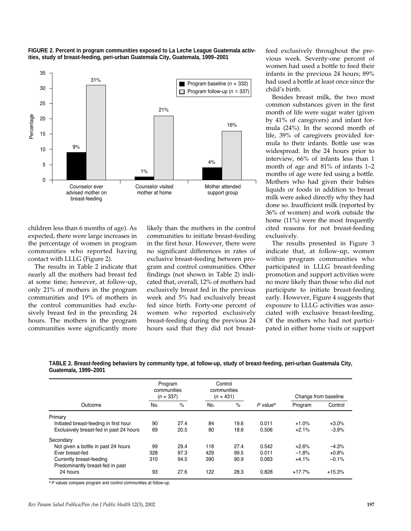



children less than 6 months of age). As expected, there were large increases in the percentage of women in program communities who reported having contact with LLLG (Figure 2).

The results in Table 2 indicate that nearly all the mothers had breast fed at some time; however, at follow-up, only 21% of mothers in the program communities and 19% of mothers in the control communities had exclusively breast fed in the preceding 24 hours. The mothers in the program communities were significantly more

likely than the mothers in the control communities to initiate breast-feeding in the first hour. However, there were no significant differences in rates of exclusive breast-feeding between program and control communities. Other findings (not shown in Table 2) indicated that, overall, 12% of mothers had exclusively breast fed in the previous week and 5% had exclusively breast fed since birth. Forty-one percent of women who reported exclusively breast-feeding during the previous 24 hours said that they did not breastfeed exclusively throughout the previous week. Seventy-one percent of women had used a bottle to feed their infants in the previous 24 hours; 89% had used a bottle at least once since the child's birth.

Besides breast milk, the two most common substances given in the first month of life were sugar water (given by 41% of caregivers) and infant formula (24%). In the second month of life, 39% of caregivers provided formula to their infants. Bottle use was widespread. In the 24 hours prior to interview, 66% of infants less than 1 month of age and 81% of infants 1–2 months of age were fed using a bottle. Mothers who had given their babies liquids or foods in addition to breast milk were asked directly why they had done so. Insufficient milk (reported by 36% of women) and work outside the home (11%) were the most frequently cited reasons for not breast-feeding exclusively.

The results presented in Figure 3 indicate that, at follow-up, women within program communities who participated in LLLG breast-feeding promotion and support activities were no more likely than those who did not participate to initiate breast-feeding early. However, Figure 4 suggests that exposure to LLLG activities was associated with exclusive breast-feeding. Of the mothers who had not participated in either home visits or support

|                      | TABLE 2. Breast-feeding behaviors by community type, at follow-up, study of breast-feeding, peri-urban Guatemala City, |  |  |  |
|----------------------|------------------------------------------------------------------------------------------------------------------------|--|--|--|
| Guatemala, 1999-2001 |                                                                                                                        |  |  |  |

|                                         | Program<br>communities<br>$(n = 337)$ |      | Control<br>communities<br>$(n = 431)$ |      |                        | Change from baseline |          |
|-----------------------------------------|---------------------------------------|------|---------------------------------------|------|------------------------|----------------------|----------|
| Outcome                                 | No.                                   | $\%$ | No.                                   | $\%$ | $P$ value <sup>a</sup> | Program              | Control  |
| Primary                                 |                                       |      |                                       |      |                        |                      |          |
| Initiated breast-feeding in first hour  | 90                                    | 27.4 | 84                                    | 19.6 | 0.011                  | $+1.0%$              | $+3.0%$  |
| Exclusively breast-fed in past 24 hours | 69                                    | 20.5 | 80                                    | 18.6 | 0.506                  | $+2.1%$              | $-3.9%$  |
| Secondary                               |                                       |      |                                       |      |                        |                      |          |
| Not given a bottle in past 24 hours     | 99                                    | 29.4 | 118                                   | 27.4 | 0.542                  | $+2.6%$              | $-4.3%$  |
| Ever breast-fed                         | 328                                   | 97.3 | 429                                   | 99.5 | 0.011                  | $-1.8%$              | $+0.8%$  |
| Currently breast-feeding                | 310                                   | 94.5 | 390                                   | 90.9 | 0.063                  | $+4.1%$              | $-0.1%$  |
| Predominantly breast-fed in past        |                                       |      |                                       |      |                        |                      |          |
| 24 hours                                | 93                                    | 27.6 | 122                                   | 28.3 | 0.828                  | $+17.7%$             | $+15.3%$ |

a P values compare program and control communities at follow-up.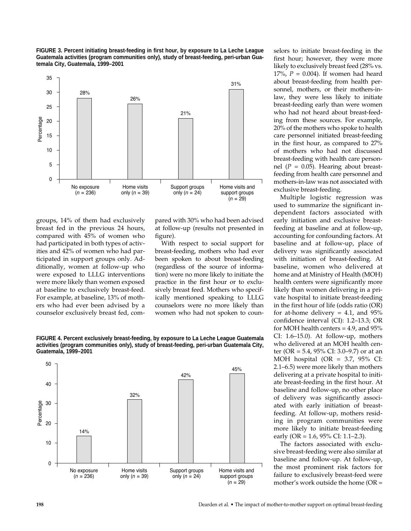



groups, 14% of them had exclusively breast fed in the previous 24 hours, compared with 45% of women who had participated in both types of activities and 42% of women who had participated in support groups only. Additionally, women at follow-up who were exposed to LLLG interventions were more likely than women exposed at baseline to exclusively breast-feed. For example, at baseline, 13% of mothers who had ever been advised by a counselor exclusively breast fed, com-

pared with 30% who had been advised at follow-up (results not presented in figure).

With respect to social support for breast-feeding, mothers who had ever been spoken to about breast-feeding (regardless of the source of information) were no more likely to initiate the practice in the first hour or to exclusively breast feed. Mothers who specifically mentioned speaking to LLLG counselors were no more likely than women who had not spoken to coun-





selors to initiate breast-feeding in the first hour; however, they were more likely to exclusively breast feed (28% vs. 17%, *P* = 0.004). If women had heard about breast-feeding from health personnel, mothers, or their mothers-inlaw, they were less likely to initiate breast-feeding early than were women who had not heard about breast-feeding from these sources. For example, 20% of the mothers who spoke to health care personnel initiated breast-feeding in the first hour, as compared to 27% of mothers who had not discussed breast-feeding with health care personnel  $(P = 0.05)$ . Hearing about breastfeeding from health care personnel and mothers-in-law was not associated with exclusive breast-feeding.

Multiple logistic regression was used to summarize the significant independent factors associated with early initiation and exclusive breastfeeding at baseline and at follow-up, accounting for confounding factors. At baseline and at follow-up, place of delivery was significantly associated with initiation of breast-feeding. At baseline, women who delivered at home and at Ministry of Health (MOH) health centers were significantly more likely than women delivering in a private hospital to initiate breast-feeding in the first hour of life (odds ratio (OR) for at-home delivery  $= 4.1$ , and  $95\%$ confidence interval (CI): 1.2–13.3; OR for MOH health centers = 4.9, and 95% CI: 1.6–15.0). At follow-up, mothers who delivered at an MOH health center (OR = 5.4, 95% CI: 3.0–9.7) or at an MOH hospital (OR =  $3.7$ ,  $95\%$  CI: 2.1–6.5) were more likely than mothers delivering at a private hospital to initiate breast-feeding in the first hour. At baseline and follow-up, no other place of delivery was significantly associated with early initiation of breastfeeding. At follow-up, mothers residing in program communities were more likely to initiate breast-feeding early (OR = 1.6, 95% CI: 1.1–2.3).

The factors associated with exclusive breast-feeding were also similar at baseline and follow-up. At follow-up, the most prominent risk factors for failure to exclusively breast-feed were mother's work outside the home (OR =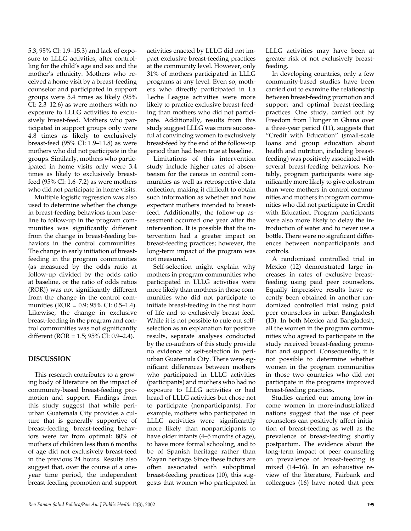5.3, 95% CI: 1.9–15.3) and lack of exposure to LLLG activities, after controlling for the child's age and sex and the mother's ethnicity. Mothers who received a home visit by a breast-feeding counselor and participated in support groups were 5.4 times as likely (95% CI: 2.3–12.6) as were mothers with no exposure to LLLG activities to exclusively breast-feed. Mothers who participated in support groups only were 4.8 times as likely to exclusively breast-feed (95% CI: 1.9–11.8) as were mothers who did not participate in the groups. Similarly, mothers who participated in home visits only were 3.4 times as likely to exclusively breastfeed (95% CI: 1.6–7.2) as were mothers who did not participate in home visits.

Multiple logistic regression was also used to determine whether the change in breast-feeding behaviors from baseline to follow-up in the program communities was significantly different from the change in breast-feeding behaviors in the control communities. The change in early initiation of breastfeeding in the program communities (as measured by the odds ratio at follow-up divided by the odds ratio at baseline, or the ratio of odds ratios (ROR)) was not significantly different from the change in the control communities (ROR = 0.9; 95% CI: 0.5–1.4). Likewise, the change in exclusive breast-feeding in the program and control communities was not significantly different (ROR = 1.5; 95% CI: 0.9–2.4).

## **DISCUSSION**

This research contributes to a growing body of literature on the impact of community-based breast-feeding promotion and support. Findings from this study suggest that while periurban Guatemala City provides a culture that is generally supportive of breast-feeding, breast-feeding behaviors were far from optimal: 80% of mothers of children less than 6 months of age did not exclusively breast-feed in the previous 24 hours. Results also suggest that, over the course of a oneyear time period, the independent breast-feeding promotion and support

activities enacted by LLLG did not impact exclusive breast-feeding practices at the community level. However, only 31% of mothers participated in LLLG programs at any level. Even so, mothers who directly participated in La Leche League activities were more likely to practice exclusive breast-feeding than mothers who did not participate. Additionally, results from this study suggest LLLG was more successful at convincing women to exclusively breast-feed by the end of the follow-up period than had been true at baseline.

Limitations of this intervention study include higher rates of absenteeism for the census in control communities as well as retrospective data collection, making it difficult to obtain such information as whether and how expectant mothers intended to breastfeed. Additionally, the follow-up assessment occurred one year after the intervention. It is possible that the intervention had a greater impact on breast-feeding practices; however, the long-term impact of the program was not measured.

Self-selection might explain why mothers in program communities who participated in LLLG activities were more likely than mothers in those communities who did not participate to initiate breast-feeding in the first hour of life and to exclusively breast feed. While it is not possible to rule out selfselection as an explanation for positive results, separate analyses conducted by the co-authors of this study provide no evidence of self-selection in periurban Guatemala City. There were significant differences between mothers who participated in LLLG activities (participants) and mothers who had no exposure to LLLG activities or had heard of LLLG activities but chose not to participate (nonparticipants). For example, mothers who participated in LLLG activities were significantly more likely than nonparticipants to have older infants (4–5 months of age), to have more formal schooling, and to be of Spanish heritage rather than Mayan heritage. Since these factors are often associated with suboptimal breast-feeding practices (10), this suggests that women who participated in

LLLG activities may have been at greater risk of not exclusively breastfeeding.

In developing countries, only a few community-based studies have been carried out to examine the relationship between breast-feeding promotion and support and optimal breast-feeding practices. One study, carried out by Freedom from Hunger in Ghana over a three-year period (11), suggests that "Credit with Education" (small-scale loans and group education about health and nutrition, including breastfeeding) was positively associated with several breast-feeding behaviors. Notably, program participants were significantly more likely to give colostrum than were mothers in control communities and mothers in program communities who did not participate in Credit with Education. Program participants were also more likely to delay the introduction of water and to never use a bottle. There were no significant differences between nonparticipants and controls.

A randomized controlled trial in Mexico (12) demonstrated large increases in rates of exclusive breastfeeding using paid peer counselors. Equally impressive results have recently been obtained in another randomized controlled trial using paid peer counselors in urban Bangladesh (13). In both Mexico and Bangladesh, all the women in the program communities who agreed to participate in the study received breast-feeding promotion and support. Consequently, it is not possible to determine whether women in the program communities in those two countries who did not participate in the programs improved breast-feeding practices.

Studies carried out among low-income women in more-industrialized nations suggest that the use of peer counselors can positively affect initiation of breast-feeding as well as the prevalence of breast-feeding shortly postpartum. The evidence about the long-term impact of peer counseling on prevalence of breast-feeding is mixed (14–16). In an exhaustive review of the literature, Fairbank and colleagues (16) have noted that peer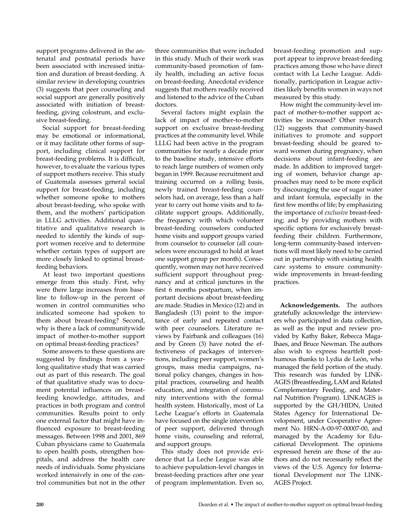support programs delivered in the antenatal and postnatal periods have been associated with increased initiation and duration of breast-feeding. A similar review in developing countries (3) suggests that peer counseling and social support are generally positively associated with initiation of breastfeeding, giving colostrum, and exclusive breast-feeding.

Social support for breast-feeding may be emotional or informational, or it may facilitate other forms of support, including clinical support for breast-feeding problems. It is difficult, however, to evaluate the various types of support mothers receive. This study of Guatemala assesses general social support for breast-feeding, including whether someone spoke to mothers about breast-feeding, who spoke with them, and the mothers' participation in LLLG activities. Additional quantitative and qualitative research is needed to identify the kinds of support women receive and to determine whether certain types of support are more closely linked to optimal breastfeeding behaviors.

At least two important questions emerge from this study. First, why were there large increases from baseline to follow-up in the percent of women in control communities who indicated someone had spoken to them about breast-feeding? Second, why is there a lack of communitywide impact of mother-to-mother support on optimal breast-feeding practices?

Some answers to these questions are suggested by findings from a yearlong qualitative study that was carried out as part of this research. The goal of that qualitative study was to document potential influences on breastfeeding knowledge, attitudes, and practices in both program and control communities. Results point to only one external factor that might have influenced exposure to breast-feeding messages. Between 1998 and 2001, 869 Cuban physicians came to Guatemala to open health posts, strengthen hospitals, and address the health care needs of individuals. Some physicians worked intensively in one of the control communities but not in the other

three communities that were included in this study. Much of their work was community-based promotion of family health, including an active focus on breast-feeding. Anecdotal evidence suggests that mothers readily received and listened to the advice of the Cuban doctors.

Several factors might explain the lack of impact of mother-to-mother support on exclusive breast-feeding practices at the community level. While LLLG had been active in the program communities for nearly a decade prior to the baseline study, intensive efforts to reach large numbers of women only began in 1999. Because recruitment and training occurred on a rolling basis, newly trained breast-feeding counselors had, on average, less than a half year to carry out home visits and to facilitate support groups. Additionally, the frequency with which volunteer breast-feeding counselors conducted home visits and support groups varied from counselor to counselor (all counselors were encouraged to hold at least one support group per month). Consequently, women may not have received sufficient support throughout pregnancy and at critical junctures in the first 6 months postpartum, when important decisions about breast-feeding are made. Studies in Mexico (12) and in Bangladesh (13) point to the importance of early and repeated contact with peer counselors. Literature reviews by Fairbank and colleagues (16) and by Green (3) have noted the effectiveness of packages of interventions, including peer support, women's groups, mass media campaigns, national policy changes, changes in hospital practices, counseling and health education, and integration of community interventions with the formal health system. Historically, most of La Leche League's efforts in Guatemala have focused on the single intervention of peer support, delivered through home visits, counseling and referral, and support groups.

This study does not provide evidence that La Leche League was able to achieve population-level changes in breast-feeding practices after one year of program implementation. Even so,

breast-feeding promotion and support appear to improve breast-feeding practices among those who have direct contact with La Leche League. Additionally, participation in League activities likely benefits women in ways not measured by this study.

How might the community-level impact of mother-to-mother support activities be increased? Other research (12) suggests that community-based initiatives to promote and support breast-feeding should be geared toward women during pregnancy, when decisions about infant-feeding are made. In addition to improved targeting of women, behavior change approaches may need to be more explicit by discouraging the use of sugar water and infant formula, especially in the first few months of life; by emphasizing the importance of *exclusive* breast-feeding; and by providing mothers with specific options for exclusively breastfeeding their children. Furthermore, long-term community-based interventions will most likely need to be carried out in partnership with existing health care systems to ensure communitywide improvements in breast-feeding practices.

**Acknowledgements.** The authors gratefully acknowledge the interviewers who participated in data collection, as well as the input and review provided by Kathy Baker, Rebecca Magalhaes, and Bruce Newman. The authors also wish to express heartfelt posthumous thanks to Lydia de León, who managed the field portion of the study. This research was funded by LINK-AGES (Breastfeeding, LAM and Related Complementary Feeding, and Maternal Nutrition Program). LINKAGES is supported by the GH/HIDN, United States Agency for International Development, under Cooperative Agreement No. HRN-A-00-97-00007-00, and managed by the Academy for Educational Development. The opinions expressed herein are those of the authors and do not necessarily reflect the views of the U.S. Agency for International Development nor The LINK-AGES Project.